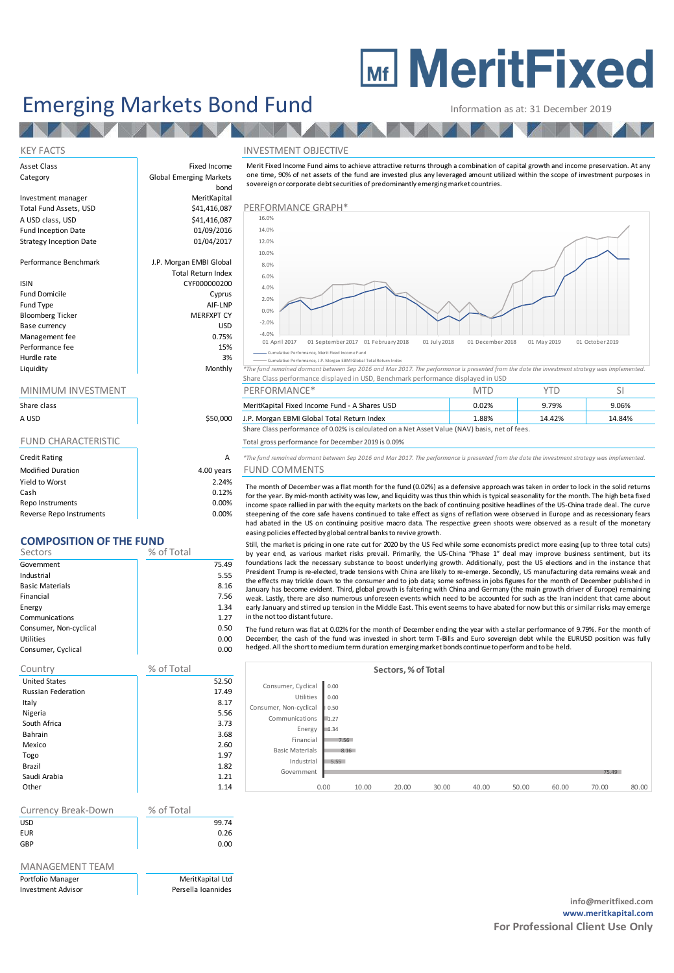# **MEDITY MeritFixed**

## Emerging Markets Bond Fund Information as at: 31 December 2019

### KEY FACTS THE SERVICE OF THE SERVICE OF THE SERVICE OF THE SERVICE OF THE SERVICE OF THE SERVICE OF THE SERVICE OF THE SERVICE OF THE SERVICE OF THE SERVICE OF THE SERVICE OF THE SERVICE OF THE SERVICE OF THE SERVICE OF TH

Information as at: 31 December 2019<br>
NVESTMENT OBJECTIVE<br>
Merit Fixed Income Fund aims to achieve attractive returns through a combination of capital growth and income preservation. At any<br>
one time, 90% of net assets of t sovereign or corporate debt securities of predominantly emerging market countries.



Cumulative Performance, Merit Fixed Income Fund nce, J.P. Morgan EBMI Global Total

**Liquidity** Monthly <sup>\*</sup>The fund remained dormant between Sep 2016 and Mar 2017. The performance is presented from the date the investment strategy was implemented Share Class performance displayed in USD, Benchmark performance displayed in USD

|                |         | ________________                                | .     | . .   |        |
|----------------|---------|-------------------------------------------------|-------|-------|--------|
| Share class    |         | MeritKapital Fixed Income Fund - A Shares USD   | 0.02% | .79%  | 9.06%  |
| <b>A I ISD</b> | tsa nan | <b>IP Morgan FRMI Global Total Return Index</b> | 88%   | 1447% | 14 84% |

A USD 1.P. Morgan EBMI Global Total Return Index 188% 1888 14.42% 14.42% 14.84% 14.84% 14.84% 14.84% 14.84% 15<br>Share Class performance of 0.02% is calculated on a Net Asset Value (NAV) basis, net of fees.

FUND CHARACTERISTIC Total gross performance for December 2019 is 0.09%

A \*The fund remained dormant between Sep 2016 and Mar 2017. The performance is presented from the date the investment strategy was implemented.

## ars FUND COMMENTS

1.88% 14.42% 14.84% 16.85 Performance of 0.02% is calculated on a Net Asset Value (NAV) basis, net of fees.<br>
The fund gross performance for December 2019 is 0.09% 1.888 Performance is presented from the date the investment steepening of the core safe havens continued to take effect as signs of reflation were observed in Europe and as recessionary fears The fund remained dormant between Sep 2016 and Mar 2017. The performance is presented from the date the investment strategy was implemented.<br>
UND COMMENTS<br>
The month of December was a flat month for the fund (0.02%) as a d easing policies effected by global central banksto revive growth. The month of December was a flat month for the fund (0.02%) as a defensive approach was taken in order to lock in the solid returns for the year. By mid-month activity was low, and liquidity was thus thin which is typical

by year end, as various market risks prevail. Primarily, the US-China "Phase 1" deal may improve business sentiment, but its for the year. By mid-month activity was low, and liquidity was thus thin which is typical seasonality for the month. The high beta fixed income space rallied in par with the equity markets on the back of continuing positiv income space rallied in par with the equity markets on the back of continuing positive headlines of the US-China trade deal. The curve<br>steepening of the core safe havens continued to take effect as signs of reflation were weak. Lastly, there are also numerous unforeseen events which need to be accounted for such as the Iran incident that came about<br>early January and stirred up tension in the Middle East. This event seems to have abated for Still, the market is pricing in one rate cut for 2020 by the US Fed while some economists predict more easing (up to three total cuts)<br>by year end, as various market risks prevail. Primarily, the US-China "Phase 1" deal ma President Trump is re-elected, trade tensions with China are likely to re-emerge. Secondly, US manufacturing data remains weak and the effects may trickle down to the commer and to job data; some softness in jobs figures f

The fund return was flat at 0.02% for the month of December ending the year with a stellar performance of 9.79%. For the month of<br>December, the cash of the fund was invested in short term T-Bills and Euro sovereign debt wh hedged. All the short to medium term duration emerging market bonds continue to perform and to be held.

|                        |      |       | Sectors, % of Total |       |       |       |       |       |       |
|------------------------|------|-------|---------------------|-------|-------|-------|-------|-------|-------|
| Consumer, Cyclical     | 0.00 |       |                     |       |       |       |       |       |       |
| Utilities              | 0.00 |       |                     |       |       |       |       |       |       |
| Consumer, Non-cyclical | 0.50 |       |                     |       |       |       |       |       |       |
| Communications         | 1.27 |       |                     |       |       |       |       |       |       |
| Energy                 | 1.34 |       |                     |       |       |       |       |       |       |
| Financial              | 7.56 |       |                     |       |       |       |       |       |       |
| <b>Basic Materials</b> | 8.16 |       |                     |       |       |       |       |       |       |
| Industrial             | 5.55 |       |                     |       |       |       |       |       |       |
| Government             |      |       |                     |       |       |       |       | 75.49 |       |
|                        | 0.00 | 10.00 | 20.00               | 30.00 | 40.00 | 50.00 | 60.00 | 70.00 | 80.00 |

| Asset Class<br>Category        | Fixed Income<br><b>Global Emerging Markets</b><br>bond | Merit Fixed Income Fund aims to<br>one time, 90% of net assets of th<br>sovereign or corporate debt secul |
|--------------------------------|--------------------------------------------------------|-----------------------------------------------------------------------------------------------------------|
| Investment manager             | MeritKapital                                           |                                                                                                           |
| Total Fund Assets, USD         | \$41,416,087                                           | PERFORMANCE GRAPH*                                                                                        |
| A USD class, USD               | \$41,416,087                                           | 16.0%                                                                                                     |
| Fund Inception Date            | 01/09/2016                                             | 14.0%                                                                                                     |
| <b>Strategy Inception Date</b> | 01/04/2017                                             | 12.0%                                                                                                     |
|                                |                                                        | 10.0%                                                                                                     |
| Performance Benchmark          | J.P. Morgan EMBI Global                                | 8.0%                                                                                                      |
|                                | <b>Total Return Index</b>                              | 6.0%                                                                                                      |
| <b>ISIN</b>                    | CYF000000200                                           | 4.0%                                                                                                      |
| <b>Fund Domicile</b>           | Cyprus                                                 | 2.0%                                                                                                      |
| Fund Type                      | AIF-LNP                                                |                                                                                                           |
| <b>Bloomberg Ticker</b>        | <b>MERFXPT CY</b>                                      | 0.0%                                                                                                      |
| Base currency                  | <b>USD</b>                                             | $-2.0%$                                                                                                   |

| <b>Bloomberg Ticker</b> | <b>MERFXPT CY</b>    |
|-------------------------|----------------------|
| Base currency           | <b>USD</b>           |
| Management fee          | 0.75%                |
| Performance fee         | 15%                  |
| Hurdle rate             | 3%                   |
| the form of all the co- | A A concelled a con- |

| Share class |  |
|-------------|--|
| A USD       |  |

| <b>Credit Rating</b>     | А          |
|--------------------------|------------|
| <b>Modified Duration</b> | 4.00 years |
| Yield to Worst           | 2.24%      |
| Cash                     | 0.12%      |
| Repo Instruments         | 0.00%      |
| Reverse Repo Instruments | $0.00\%$   |

## **COMPOSITION OF THE FUND**

| Sectors                | % of Total |       |
|------------------------|------------|-------|
| Government             |            | 75.49 |
| Industrial             |            | 5.55  |
| <b>Basic Materials</b> |            | 8.16  |
| Financial              |            | 7.56  |
| Energy                 |            | 1.34  |
| Communications         |            | 1.27  |
| Consumer, Non-cyclical |            | 0.50  |
| Utilities              |            | 0.00  |
| Consumer, Cyclical     |            | 0.00  |

| Country                   | % of Total |
|---------------------------|------------|
| <b>United States</b>      | 52.50      |
| <b>Russian Federation</b> | 17.49      |
| Italy                     | 8.17       |
| Nigeria                   | 5.56       |
| South Africa              | 3.73       |
| <b>Bahrain</b>            | 3.68       |
| Mexico                    | 2.60       |
| Togo                      | 1.97       |
| Brazil                    | 1.82       |
| Saudi Arabia              | 1.21       |
| Other                     | 1.14       |

| Currency Break-Down | % of Total |
|---------------------|------------|
| <b>USD</b>          | 99.74      |
| <b>EUR</b>          | 0.26       |
| GBP                 | 0.00       |

### MANAGEMENT TEAM

Portfolio Manager **MeritKapital Ltd** Investment Advisor **Persella Ioannides**